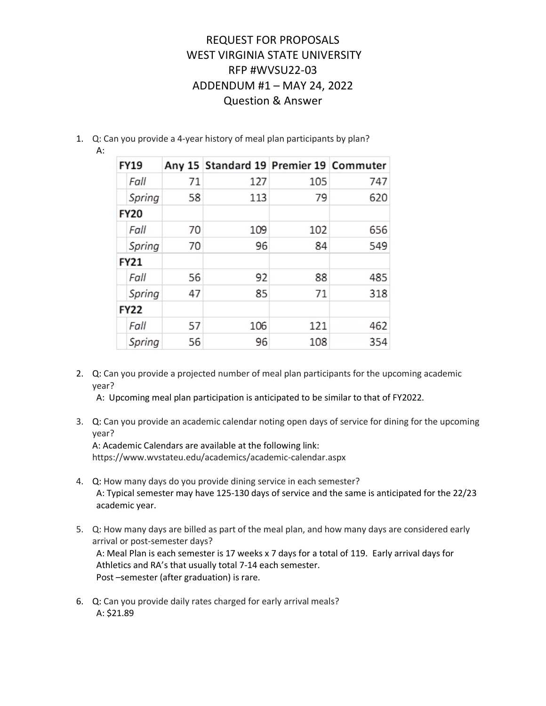- 1. Q: Can you provide a 4-year history of meal plan participants by plan?
	- A:

|             | <b>FY19</b> |    | Any 15 Standard 19 Premier 19 Commuter |     |     |
|-------------|-------------|----|----------------------------------------|-----|-----|
|             | Fall        | 71 | 127                                    | 105 | 747 |
|             | Spring      | 58 | 113                                    | 79  | 620 |
|             | <b>FY20</b> |    |                                        |     |     |
|             | Fall        | 70 | 109                                    | 102 | 656 |
|             | Spring      | 70 | 96                                     | 84  | 549 |
|             | <b>FY21</b> |    |                                        |     |     |
|             | Fall        | 56 | 92                                     | 88  | 485 |
|             | Spring      | 47 | 85                                     | 71  | 318 |
| <b>FY22</b> |             |    |                                        |     |     |
|             | Fall        | 57 | 106                                    | 121 | 462 |
|             | Spring      | 56 | 96                                     | 108 | 354 |

2. Q: Can you provide a projected number of meal plan participants for the upcoming academic year?

A: Upcoming meal plan participation is anticipated to be similar to that of FY2022.

3. Q: Can you provide an academic calendar noting open days of service for dining for the upcoming year?

A: Academic Calendars are available at the following link: https://www.wvstateu.edu/academics/academic-calendar.aspx

- 4. Q: How many days do you provide dining service in each semester? A: Typical semester may have 125-130 days of service and the same is anticipated for the 22/23 academic year.
- 5. Q: How many days are billed as part of the meal plan, and how many days are considered early arrival or post-semester days? A: Meal Plan is each semester is 17 weeks x 7 days for a total of 119. Early arrival days for Athletics and RA's that usually total 7-14 each semester. Post –semester (after graduation) is rare.
- 6. Q: Can you provide daily rates charged for early arrival meals? A: \$21.89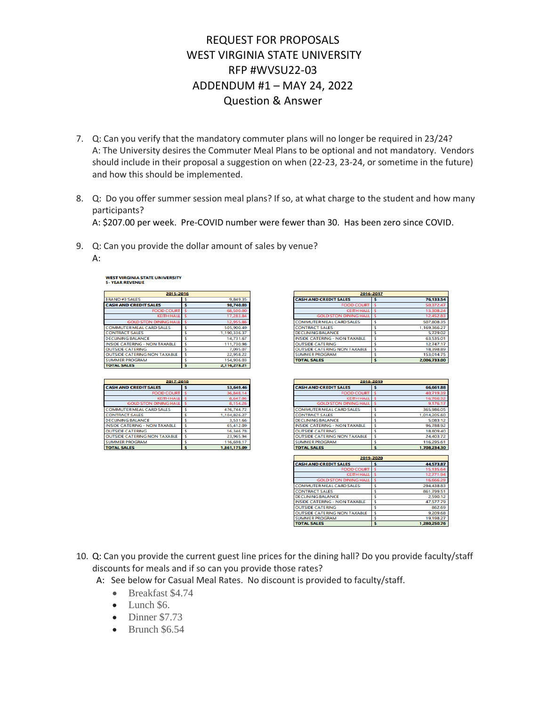- 7. Q: Can you verify that the mandatory commuter plans will no longer be required in 23/24? A: The University desires the Commuter Meal Plans to be optional and not mandatory. Vendors should include in their proposal a suggestion on when (22-23, 23-24, or sometime in the future) and how this should be implemented.
- 8. Q: Do you offer summer session meal plans? If so, at what charge to the student and how many participants? A: \$207.00 per week. Pre-COVID number were fewer than 30. Has been zero since COVID.
- 9. Q: Can you provide the dollar amount of sales by venue?
	- A:

| 2015-2016                            |   |              |
|--------------------------------------|---|--------------|
| <b>BRAND#3 SALES</b>                 | s | 9.849.35     |
| <b>CASH AND CREDIT SALES</b>         | s | 98.740.03    |
| <b>FOOD COURT</b>                    |   | 68,500.00    |
| <b>KEITH HALL</b>                    |   | 17.283.84    |
| <b>GOLD STON DINING HALL</b>         |   | 12.955.86    |
| <b>COMMUTER MEAL CARD SALES</b>      |   | 505.900.49   |
| <b>CONTRACT SALES</b>                | s | 1.190.336.37 |
| <b>DECLINING BALANCE</b>             | s | 14.731.67    |
| <b>INSIDE CATERING - NON TAXABLE</b> | s | 111.730.98   |
| <b>OUTSIDE CATERING</b>              | s | 7.095.07     |
| <b>OUTSIDE CATERING NON TAXABLE</b>  | ś | 22.958.22    |
| <b>SUMMER PROGRAM</b>                | Ś | 154,936.03   |
| <b>TOTAL SALES</b>                   | ¢ | 2,116,278.21 |

**WEST VIRGINIA STATE UNIVERSITY** 

| 2017-2018                            |   |              |
|--------------------------------------|---|--------------|
| <b>CASH AND CREDIT SALES</b>         |   | 53.649.46    |
| <b>FOOD COURT</b>                    |   | 36.848.14    |
| <b>KEITH HALL</b>                    |   | 8.647.06     |
| <b>GOLD STON DINING HALL</b>         |   | 8.154.26     |
| <b>COMMUTER MEAL CARD SALES</b>      | s | 476.744.72   |
| <b>CONTRACT SALES</b>                | ¢ | 1.104.826.27 |
| <b>DECLINING BALANCE</b>             |   | 3.531.66     |
| <b>INSIDE CATERING - NON TAXABLE</b> | s | 65.412.09    |
| <b>OUTSIDE CATERING</b>              |   | 16.346.78    |
| <b>OUTSIDE CATERING NON TAXABLE</b>  | ٩ | 23.965.94    |
| <b>SUMMER PROGRAM</b>                | s | 116.698.17   |
| <b>TOTAL SALES</b>                   | s | 1,861,175.09 |

| 2016-2017                            |  |              |
|--------------------------------------|--|--------------|
| <b>CASH AND CREDIT SALES</b>         |  | 76,133.54    |
| <b>FOOD COURT</b>                    |  | 50.372.47    |
| <b>KEITH HALL</b>                    |  | 13,308.24    |
| <b>GOLD STON DINING HALL</b>         |  | 12.452.83    |
| <b>COMMUTER MEAL CARD SALES</b>      |  | 507,808.35   |
| <b>CONTRACT SALES</b>                |  | 1.169.366.27 |
| <b>DECLINING BALANCE</b>             |  | 5.729.02     |
| <b>INSIDE CATERING - NON TAXABLE</b> |  | 63.535.01    |
| <b>OUTSIDE CATERING</b>              |  | 12.747.17    |
| <b>OUTSIDE CATERING NON TAXABLE</b>  |  | 18.398.89    |
| <b>SUMMER PROGRAM</b>                |  | 153,014.75   |
| <b>TOTAL SALES</b>                   |  | 2.006.733.00 |

| 2018-2019                            |           |              |  |
|--------------------------------------|-----------|--------------|--|
| <b>CASH AND CREDIT SALES</b>         | s         | 66.661.88    |  |
| <b>FOOD COURT</b>                    | ×         | 40.719.39    |  |
| <b>KEITH HALL</b>                    | <b>s</b>  | 16.766.32    |  |
| <b>GOLD STON DINING HALL</b>         | -5        | 9.176.17     |  |
| <b>COMMUTER MEAL CARD SALES</b>      | ś         | 365.986.05   |  |
| <b>CONTRACT SALES</b>                | Ŝ         | 1,014,205.60 |  |
| <b>DECLINING BALANCE</b>             | Ś         | 5.083.12     |  |
| <b>INSIDE CATERING - NON TAXABLE</b> | Ś         | 96.788.92    |  |
| <b>OUTSIDE CATERING</b>              | s         | 18.809.40    |  |
| <b>OUTSIDE CATERING NON TAXABLE</b>  | ś         | 24.403.72    |  |
| <b>SUMMER PROGRAM</b>                | s         | 116.295.61   |  |
| <b>TOTAL SALES</b>                   | Ś         | 1.708.234.30 |  |
|                                      |           |              |  |
|                                      | 2019-2020 |              |  |
| <b>CASH AND CREDIT SALES</b>         | s         | 44.573.87    |  |
| FOOD COURT                           | ×         | 15.135.64    |  |
| <b>KEITH HALL</b>                    | 3         | 12.771.94    |  |
| <b>GOLD STON DINING HALL</b>         | š         | 16.666.29    |  |
| <b>COMMUTER MEAL CARD SALES</b>      | s         | 294.438.83   |  |
| <b>CONTRACT SALES</b>                | s         | 861.799.51   |  |
| <b>DECLINING BALANCE</b>             | ś         | 2,590.12     |  |
| <b>INSIDE CATERING - NON TAXABLE</b> | s         | 47.577.79    |  |
| <b>OUTSIDE CATERING</b>              | s         | 862.69       |  |
| <b>OUTSIDE CATERING NON TAXABLE</b>  | Ś         | 9.209.68     |  |
| <b>SUMMER PROGRAM</b>                | Ś         |              |  |
|                                      | s         | 19.198.27    |  |

- 10. Q: Can you provide the current guest line prices for the dining hall? Do you provide faculty/staff discounts for meals and if so can you provide those rates?
	- A: See below for Casual Meal Rates. No discount is provided to faculty/staff.
		- Breakfast \$4.74
		- Lunch \$6.
		- Dinner \$7.73
		- Brunch \$6.54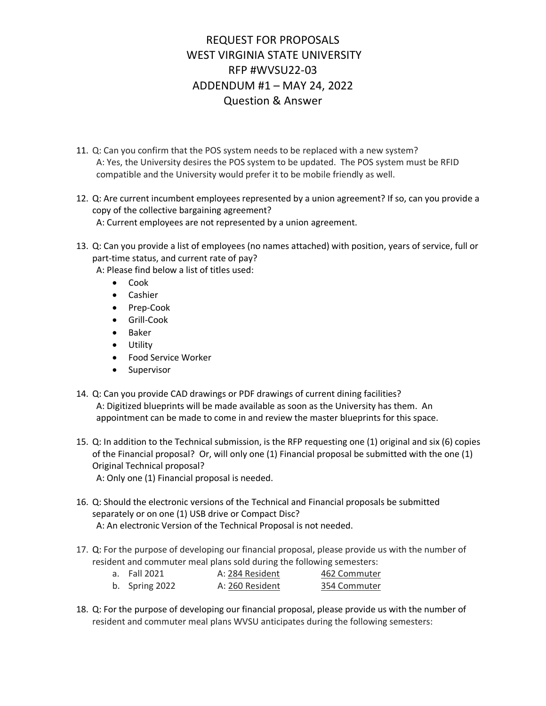- 11. Q: Can you confirm that the POS system needs to be replaced with a new system? A: Yes, the University desires the POS system to be updated. The POS system must be RFID compatible and the University would prefer it to be mobile friendly as well.
- 12. Q: Are current incumbent employees represented by a union agreement? If so, can you provide a copy of the collective bargaining agreement? A: Current employees are not represented by a union agreement.
- 13. Q: Can you provide a list of employees (no names attached) with position, years of service, full or part-time status, and current rate of pay?

A: Please find below a list of titles used:

- Cook
- Cashier
- Prep-Cook
- Grill-Cook
- Baker
- Utility
- Food Service Worker
- Supervisor
- 14. Q: Can you provide CAD drawings or PDF drawings of current dining facilities? A: Digitized blueprints will be made available as soon as the University has them. An appointment can be made to come in and review the master blueprints for this space.
- 15. Q: In addition to the Technical submission, is the RFP requesting one (1) original and six (6) copies of the Financial proposal? Or, will only one (1) Financial proposal be submitted with the one (1) Original Technical proposal?
	- A: Only one (1) Financial proposal is needed.
- 16. Q: Should the electronic versions of the Technical and Financial proposals be submitted separately or on one (1) USB drive or Compact Disc? A: An electronic Version of the Technical Proposal is not needed.
- 17. Q: For the purpose of developing our financial proposal, please provide us with the number of resident and commuter meal plans sold during the following semesters:

| a. Fall 2021   | A: 284 Resident | 462 Commuter |
|----------------|-----------------|--------------|
| b. Spring 2022 | A: 260 Resident | 354 Commuter |

18. Q: For the purpose of developing our financial proposal, please provide us with the number of resident and commuter meal plans WVSU anticipates during the following semesters: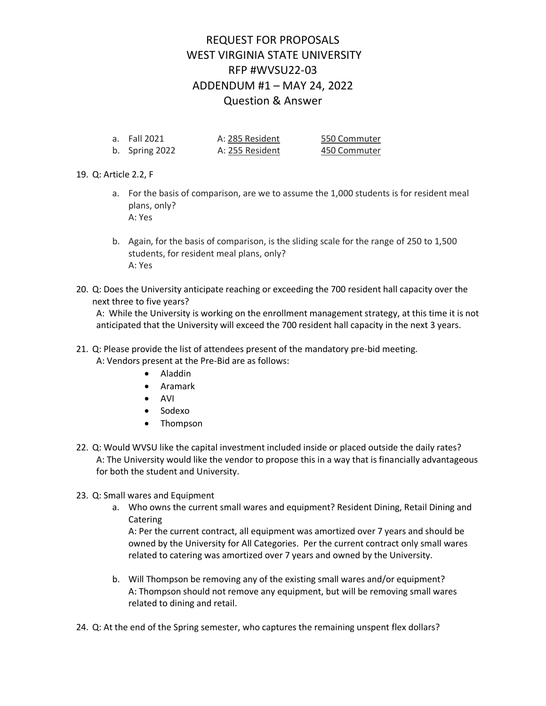| a. Fall 2021   | A: 285 Resident | 550 Commuter |
|----------------|-----------------|--------------|
| b. Spring 2022 | A: 255 Resident | 450 Commuter |

### 19. Q: Article 2.2, F

- a. For the basis of comparison, are we to assume the 1,000 students is for resident meal plans, only? A: Yes
- b. Again, for the basis of comparison, is the sliding scale for the range of 250 to 1,500 students, for resident meal plans, only? A: Yes
- 20. Q: Does the University anticipate reaching or exceeding the 700 resident hall capacity over the next three to five years?

A: While the University is working on the enrollment management strategy, at this time it is not anticipated that the University will exceed the 700 resident hall capacity in the next 3 years.

#### 21. Q: Please provide the list of attendees present of the mandatory pre-bid meeting. A: Vendors present at the Pre-Bid are as follows:

- Aladdin
- Aramark
- AVI
- Sodexo
- Thompson
- 22. Q: Would WVSU like the capital investment included inside or placed outside the daily rates? A: The University would like the vendor to propose this in a way that is financially advantageous for both the student and University.
- 23. Q: Small wares and Equipment
	- a. Who owns the current small wares and equipment? Resident Dining, Retail Dining and Catering

A: Per the current contract, all equipment was amortized over 7 years and should be owned by the University for All Categories. Per the current contract only small wares related to catering was amortized over 7 years and owned by the University.

- b. Will Thompson be removing any of the existing small wares and/or equipment? A: Thompson should not remove any equipment, but will be removing small wares related to dining and retail.
- 24. Q: At the end of the Spring semester, who captures the remaining unspent flex dollars?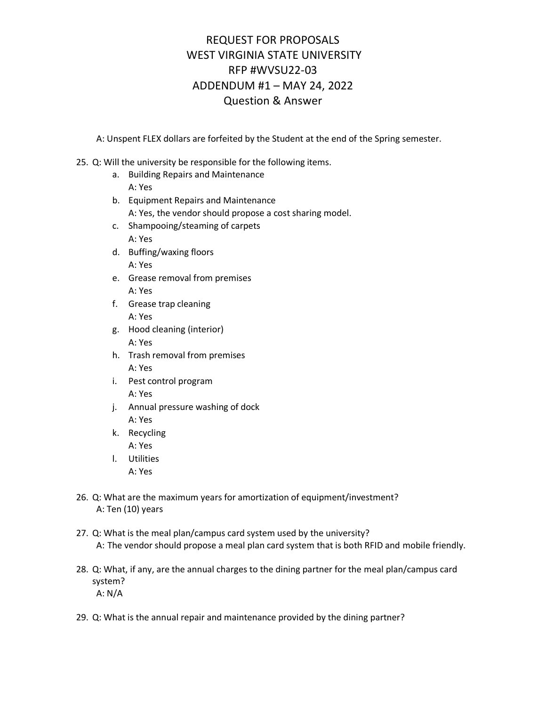A: Unspent FLEX dollars are forfeited by the Student at the end of the Spring semester.

### 25. Q: Will the university be responsible for the following items.

- a. Building Repairs and Maintenance A: Yes
- b. Equipment Repairs and Maintenance A: Yes, the vendor should propose a cost sharing model.
- c. Shampooing/steaming of carpets A: Yes
- d. Buffing/waxing floors A: Yes
- e. Grease removal from premises A: Yes
- f. Grease trap cleaning A: Yes
- g. Hood cleaning (interior) A: Yes
- h. Trash removal from premises A: Yes
- i. Pest control program A: Yes
- j. Annual pressure washing of dock A: Yes
- k. Recycling
	- A: Yes
- l. Utilities
	- A: Yes
- 26. Q: What are the maximum years for amortization of equipment/investment? A: Ten (10) years
- 27. Q: What is the meal plan/campus card system used by the university? A: The vendor should propose a meal plan card system that is both RFID and mobile friendly.
- 28. Q: What, if any, are the annual charges to the dining partner for the meal plan/campus card system? A: N/A
- 29. Q: What is the annual repair and maintenance provided by the dining partner?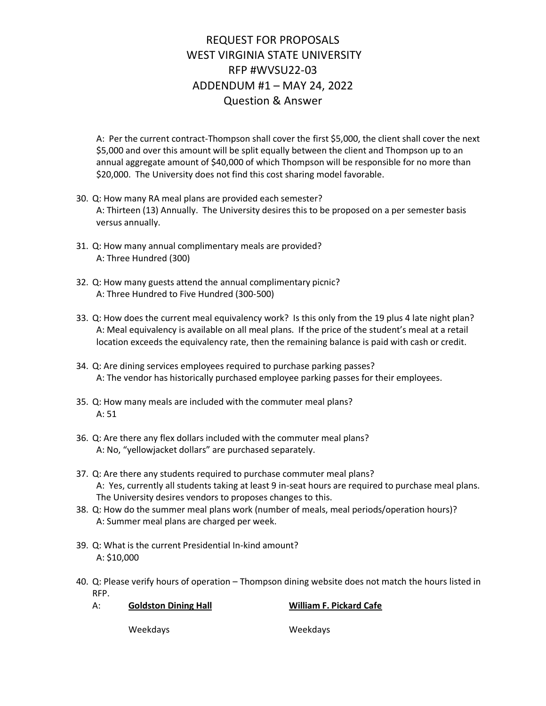A: Per the current contract-Thompson shall cover the first \$5,000, the client shall cover the next \$5,000 and over this amount will be split equally between the client and Thompson up to an annual aggregate amount of \$40,000 of which Thompson will be responsible for no more than \$20,000. The University does not find this cost sharing model favorable.

- 30. Q: How many RA meal plans are provided each semester? A: Thirteen (13) Annually. The University desires this to be proposed on a per semester basis versus annually.
- 31. Q: How many annual complimentary meals are provided? A: Three Hundred (300)
- 32. Q: How many guests attend the annual complimentary picnic? A: Three Hundred to Five Hundred (300-500)
- 33. Q: How does the current meal equivalency work? Is this only from the 19 plus 4 late night plan? A: Meal equivalency is available on all meal plans. If the price of the student's meal at a retail location exceeds the equivalency rate, then the remaining balance is paid with cash or credit.
- 34. Q: Are dining services employees required to purchase parking passes? A: The vendor has historically purchased employee parking passes for their employees.
- 35. Q: How many meals are included with the commuter meal plans? A: 51
- 36. Q: Are there any flex dollars included with the commuter meal plans? A: No, "yellowjacket dollars" are purchased separately.
- 37. Q: Are there any students required to purchase commuter meal plans? A: Yes, currently all students taking at least 9 in-seat hours are required to purchase meal plans. The University desires vendors to proposes changes to this.
- 38. Q: How do the summer meal plans work (number of meals, meal periods/operation hours)? A: Summer meal plans are charged per week.
- 39. Q: What is the current Presidential In-kind amount? A: \$10,000
- 40. Q: Please verify hours of operation Thompson dining website does not match the hours listed in RFP.

| А: | <b>Goldston Dining Hall</b> | <b>William F. Pickard Cafe</b> |
|----|-----------------------------|--------------------------------|
|    | Weekdays                    | Weekdays                       |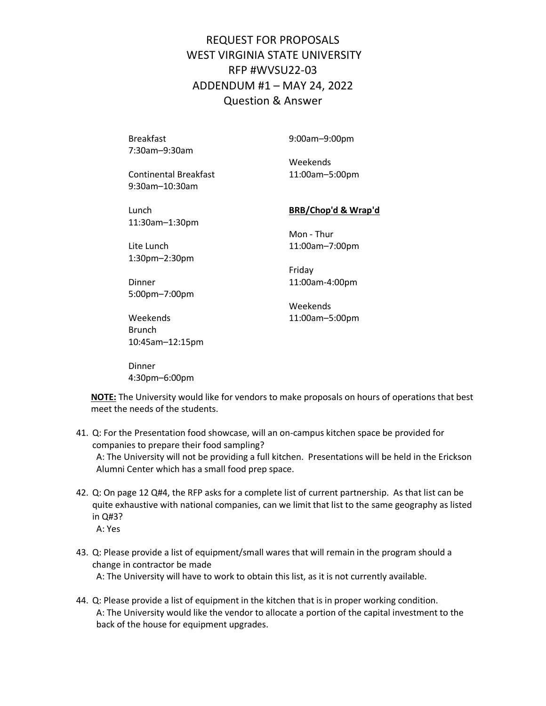7:30am–9:30am

Breakfast 9:00am–9:00pm

Weekends

Continental Breakfast 11:00am–5:00pm 9:30am–10:30am

Lunch **BRB/Chop'd & Wrap'd** 11:30am–1:30pm

Lite Lunch 11:00am–7:00pm 1:30pm–2:30pm

Mon - Thur

Friday

Dinner 11:00am-4:00pm 5:00pm–7:00pm

Weekends Weekends 11:00am–5:00pm

Brunch 10:45am–12:15pm

Dinner 4:30pm–6:00pm

**NOTE:** The University would like for vendors to make proposals on hours of operations that best meet the needs of the students.

- 41. Q: For the Presentation food showcase, will an on-campus kitchen space be provided for companies to prepare their food sampling? A: The University will not be providing a full kitchen. Presentations will be held in the Erickson Alumni Center which has a small food prep space.
- 42. Q: On page 12 Q#4, the RFP asks for a complete list of current partnership. As that list can be quite exhaustive with national companies, can we limit that list to the same geography as listed in Q#3? A: Yes
- 43. Q: Please provide a list of equipment/small wares that will remain in the program should a change in contractor be made A: The University will have to work to obtain this list, as it is not currently available.
- 44. Q: Please provide a list of equipment in the kitchen that is in proper working condition. A: The University would like the vendor to allocate a portion of the capital investment to the back of the house for equipment upgrades.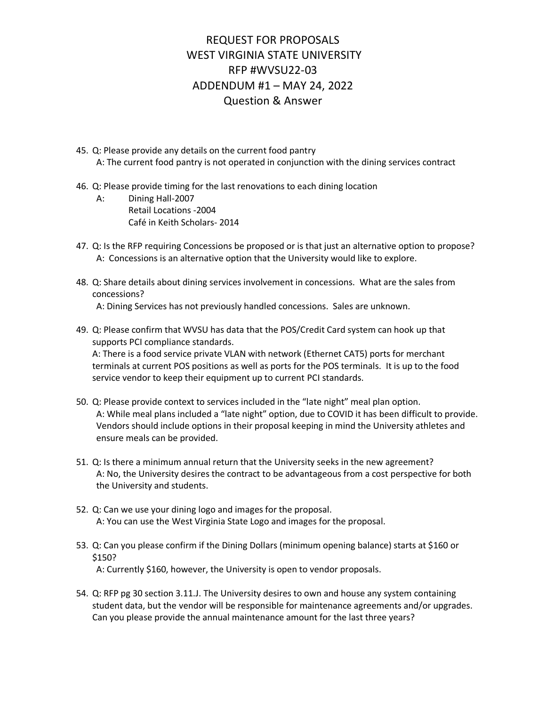- 45. Q: Please provide any details on the current food pantry A: The current food pantry is not operated in conjunction with the dining services contract
- 46. Q: Please provide timing for the last renovations to each dining location
	- A: Dining Hall-2007 Retail Locations -2004 Café in Keith Scholars- 2014
- 47. Q: Is the RFP requiring Concessions be proposed or is that just an alternative option to propose? A: Concessions is an alternative option that the University would like to explore.
- 48. Q: Share details about dining services involvement in concessions. What are the sales from concessions? A: Dining Services has not previously handled concessions. Sales are unknown.
- 49. Q: Please confirm that WVSU has data that the POS/Credit Card system can hook up that supports PCI compliance standards.

A: There is a food service private VLAN with network (Ethernet CAT5) ports for merchant terminals at current POS positions as well as ports for the POS terminals. It is up to the food service vendor to keep their equipment up to current PCI standards.

- 50. Q: Please provide context to services included in the "late night" meal plan option. A: While meal plans included a "late night" option, due to COVID it has been difficult to provide. Vendors should include options in their proposal keeping in mind the University athletes and ensure meals can be provided.
- 51. Q: Is there a minimum annual return that the University seeks in the new agreement? A: No, the University desires the contract to be advantageous from a cost perspective for both the University and students.
- 52. Q: Can we use your dining logo and images for the proposal. A: You can use the West Virginia State Logo and images for the proposal.
- 53. Q: Can you please confirm if the Dining Dollars (minimum opening balance) starts at \$160 or \$150? A: Currently \$160, however, the University is open to vendor proposals.
- 54. Q: RFP pg 30 section 3.11.J. The University desires to own and house any system containing student data, but the vendor will be responsible for maintenance agreements and/or upgrades. Can you please provide the annual maintenance amount for the last three years?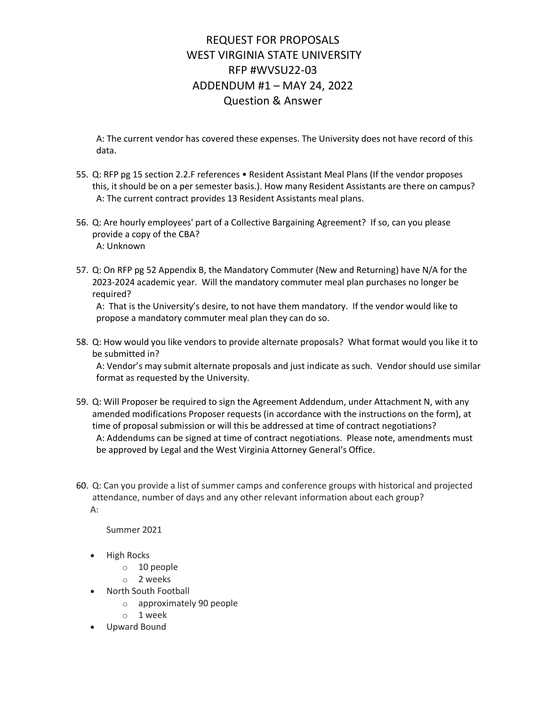A: The current vendor has covered these expenses. The University does not have record of this data.

- 55. Q: RFP pg 15 section 2.2.F references Resident Assistant Meal Plans (If the vendor proposes this, it should be on a per semester basis.). How many Resident Assistants are there on campus? A: The current contract provides 13 Resident Assistants meal plans.
- 56. Q: Are hourly employees' part of a Collective Bargaining Agreement? If so, can you please provide a copy of the CBA? A: Unknown
- 57. Q: On RFP pg 52 Appendix B, the Mandatory Commuter (New and Returning) have N/A for the 2023-2024 academic year. Will the mandatory commuter meal plan purchases no longer be required?

A: That is the University's desire, to not have them mandatory. If the vendor would like to propose a mandatory commuter meal plan they can do so.

58. Q: How would you like vendors to provide alternate proposals? What format would you like it to be submitted in?

A: Vendor's may submit alternate proposals and just indicate as such. Vendor should use similar format as requested by the University.

- 59. Q: Will Proposer be required to sign the Agreement Addendum, under Attachment N, with any amended modifications Proposer requests (in accordance with the instructions on the form), at time of proposal submission or will this be addressed at time of contract negotiations? A: Addendums can be signed at time of contract negotiations. Please note, amendments must be approved by Legal and the West Virginia Attorney General's Office.
- 60. Q: Can you provide a list of summer camps and conference groups with historical and projected attendance, number of days and any other relevant information about each group? A:

Summer 2021

- High Rocks
	- o 10 people
	- o 2 weeks
- North South Football
	- o approximately 90 people
	- o 1 week
- Upward Bound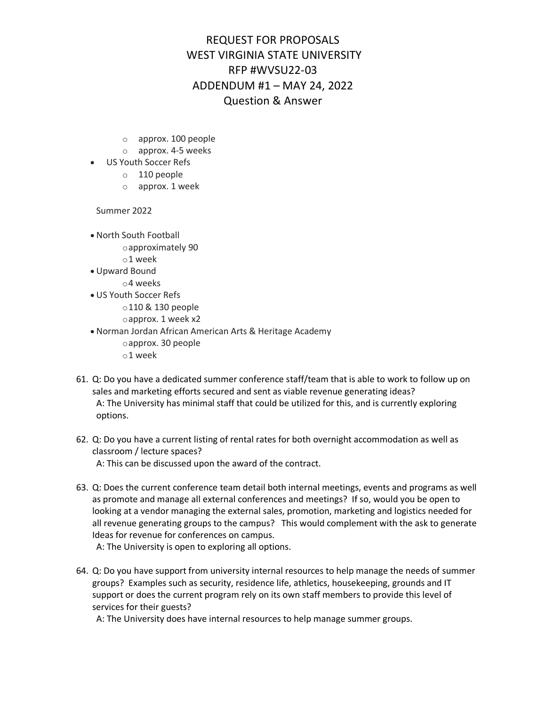- o approx. 100 people
- o approx. 4-5 weeks
- US Youth Soccer Refs
	- o 110 people
	- o approx. 1 week

Summer 2022

- North South Football oapproximately 90
	- o1 week
- Upward Bound
	- o4 weeks
- US Youth Soccer Refs
	- o110 & 130 people oapprox. 1 week x2
- Norman Jordan African American Arts & Heritage Academy oapprox. 30 people o1 week
- 61. Q: Do you have a dedicated summer conference staff/team that is able to work to follow up on sales and marketing efforts secured and sent as viable revenue generating ideas? A: The University has minimal staff that could be utilized for this, and is currently exploring options.
- 62. Q: Do you have a current listing of rental rates for both overnight accommodation as well as classroom / lecture spaces? A: This can be discussed upon the award of the contract.
- 63. Q: Does the current conference team detail both internal meetings, events and programs as well as promote and manage all external conferences and meetings? If so, would you be open to looking at a vendor managing the external sales, promotion, marketing and logistics needed for all revenue generating groups to the campus? This would complement with the ask to generate Ideas for revenue for conferences on campus.

A: The University is open to exploring all options.

64. Q: Do you have support from university internal resources to help manage the needs of summer groups? Examples such as security, residence life, athletics, housekeeping, grounds and IT support or does the current program rely on its own staff members to provide this level of services for their guests?

A: The University does have internal resources to help manage summer groups.